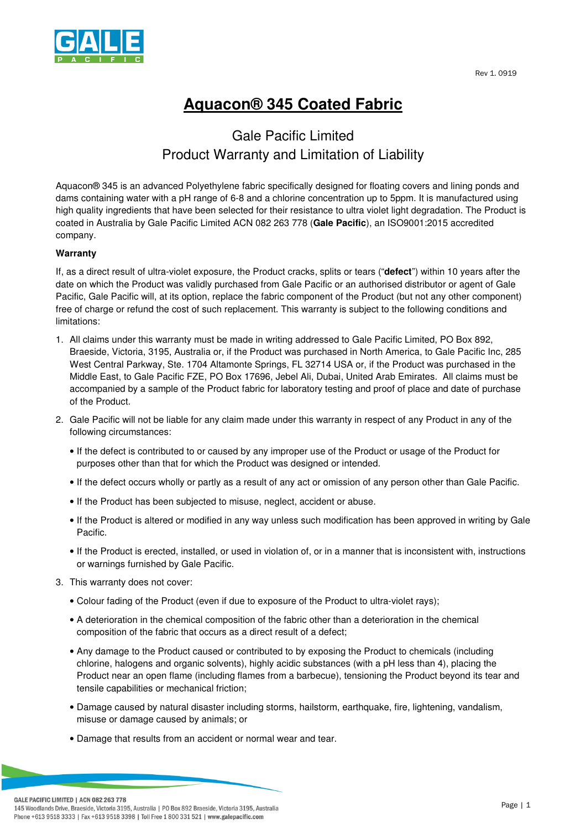



## **Aquacon® 345 Coated Fabric**

## Gale Pacific Limited Product Warranty and Limitation of Liability

Aquacon® 345 is an advanced Polyethylene fabric specifically designed for floating covers and lining ponds and dams containing water with a pH range of 6-8 and a chlorine concentration up to 5ppm. It is manufactured using high quality ingredients that have been selected for their resistance to ultra violet light degradation. The Product is coated in Australia by Gale Pacific Limited ACN 082 263 778 (**Gale Pacific**), an ISO9001:2015 accredited company.

## **Warranty**

If, as a direct result of ultra-violet exposure, the Product cracks, splits or tears ("**defect**") within 10 years after the date on which the Product was validly purchased from Gale Pacific or an authorised distributor or agent of Gale Pacific, Gale Pacific will, at its option, replace the fabric component of the Product (but not any other component) free of charge or refund the cost of such replacement. This warranty is subject to the following conditions and limitations:

- 1. All claims under this warranty must be made in writing addressed to Gale Pacific Limited, PO Box 892, Braeside, Victoria, 3195, Australia or, if the Product was purchased in North America, to Gale Pacific Inc, 285 West Central Parkway, Ste. 1704 Altamonte Springs, FL 32714 USA or, if the Product was purchased in the Middle East, to Gale Pacific FZE, PO Box 17696, Jebel Ali, Dubai, United Arab Emirates. All claims must be accompanied by a sample of the Product fabric for laboratory testing and proof of place and date of purchase of the Product.
- 2. Gale Pacific will not be liable for any claim made under this warranty in respect of any Product in any of the following circumstances:
	- If the defect is contributed to or caused by any improper use of the Product or usage of the Product for purposes other than that for which the Product was designed or intended.
	- If the defect occurs wholly or partly as a result of any act or omission of any person other than Gale Pacific.
	- If the Product has been subjected to misuse, neglect, accident or abuse.
	- If the Product is altered or modified in any way unless such modification has been approved in writing by Gale Pacific.
	- If the Product is erected, installed, or used in violation of, or in a manner that is inconsistent with, instructions or warnings furnished by Gale Pacific.
- 3. This warranty does not cover:
	- Colour fading of the Product (even if due to exposure of the Product to ultra-violet rays);
	- A deterioration in the chemical composition of the fabric other than a deterioration in the chemical composition of the fabric that occurs as a direct result of a defect;
	- Any damage to the Product caused or contributed to by exposing the Product to chemicals (including chlorine, halogens and organic solvents), highly acidic substances (with a pH less than 4), placing the Product near an open flame (including flames from a barbecue), tensioning the Product beyond its tear and tensile capabilities or mechanical friction;
	- Damage caused by natural disaster including storms, hailstorm, earthquake, fire, lightening, vandalism, misuse or damage caused by animals; or
	- Damage that results from an accident or normal wear and tear.